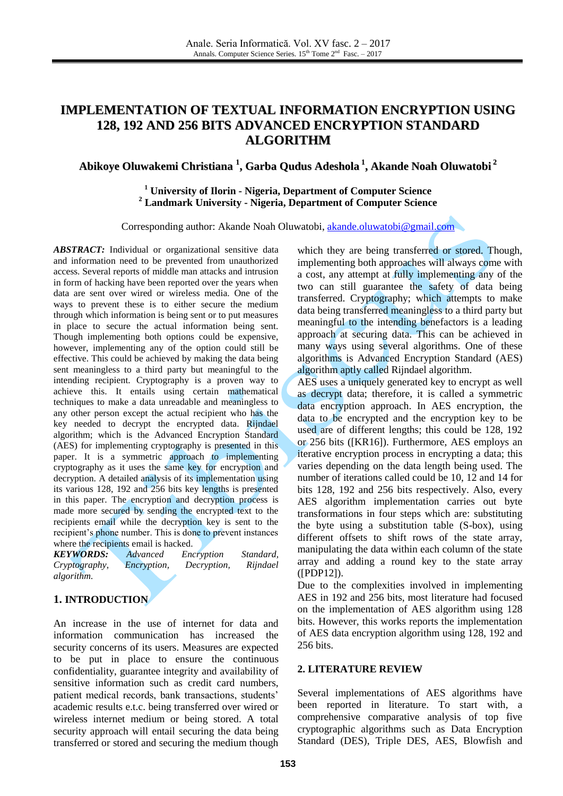# **IMPLEMENTATION OF TEXTUAL INFORMATION ENCRYPTION USING 128, 192 AND 256 BITS ADVANCED ENCRYPTION STANDARD ALGORITHM**

# **Abikoye Oluwakemi Christiana 1 , Garba Qudus Adeshola 1 , Akande Noah Oluwatobi 2**

# **<sup>1</sup> University of Ilorin - Nigeria, Department of Computer Science <sup>2</sup> Landmark University - Nigeria, Department of Computer Science**

Corresponding author: Akande Noah Oluwatobi, [akande.oluwatobi@gmail.com](mailto:akande.oluwatobi@gmail.com)

*ABSTRACT:* Individual or organizational sensitive data and information need to be prevented from unauthorized access. Several reports of middle man attacks and intrusion in form of hacking have been reported over the years when data are sent over wired or wireless media. One of the ways to prevent these is to either secure the medium through which information is being sent or to put measures in place to secure the actual information being sent. Though implementing both options could be expensive, however, implementing any of the option could still be effective. This could be achieved by making the data being sent meaningless to a third party but meaningful to the intending recipient. Cryptography is a proven way to achieve this. It entails using certain mathematical techniques to make a data unreadable and meaningless to any other person except the actual recipient who has the key needed to decrypt the encrypted data. Rijndael algorithm; which is the Advanced Encryption Standard (AES) for implementing cryptography is presented in this paper. It is a symmetric approach to implementing cryptography as it uses the same key for encryption and decryption. A detailed analysis of its implementation using its various 128, 192 and 256 bits key lengths is presented in this paper. The encryption and decryption process is made more secured by sending the encrypted text to the recipients email while the decryption key is sent to the recipient's phone number. This is done to prevent instances where the recipients email is hacked.

*KEYWORDS: Advanced Encryption Standard, Cryptography, Encryption, Decryption, Rijndael algorithm.*

# **1. INTRODUCTION**

An increase in the use of internet for data and information communication has increased the security concerns of its users. Measures are expected to be put in place to ensure the continuous confidentiality, guarantee integrity and availability of sensitive information such as credit card numbers, patient medical records, bank transactions, students' academic results e.t.c. being transferred over wired or wireless internet medium or being stored. A total security approach will entail securing the data being transferred or stored and securing the medium though

which they are being transferred or stored. Though, implementing both approaches will always come with a cost, any attempt at fully implementing any of the two can still guarantee the safety of data being transferred. Cryptography; which attempts to make data being transferred meaningless to a third party but meaningful to the intending benefactors is a leading approach at securing data. This can be achieved in many ways using several algorithms. One of these algorithms is Advanced Encryption Standard (AES) algorithm aptly called Rijndael algorithm.

AES uses a uniquely generated key to encrypt as well as decrypt data; therefore, it is called a symmetric data encryption approach. In AES encryption, the data to be encrypted and the encryption key to be used are of different lengths; this could be 128, 192 or 256 bits ([KR16]). Furthermore, AES employs an iterative encryption process in encrypting a data; this varies depending on the data length being used. The number of iterations called could be 10, 12 and 14 for bits 128, 192 and 256 bits respectively. Also, every AES algorithm implementation carries out byte transformations in four steps which are: substituting the byte using a substitution table (S-box), using different offsets to shift rows of the state array, manipulating the data within each column of the state array and adding a round key to the state array ([PDP12]).

Due to the complexities involved in implementing AES in 192 and 256 bits, most literature had focused on the implementation of AES algorithm using 128 bits. However, this works reports the implementation of AES data encryption algorithm using 128, 192 and 256 bits.

#### **2. LITERATURE REVIEW**

Several implementations of AES algorithms have been reported in literature. To start with, a comprehensive comparative analysis of top five cryptographic algorithms such as Data Encryption Standard (DES), Triple DES, AES, Blowfish and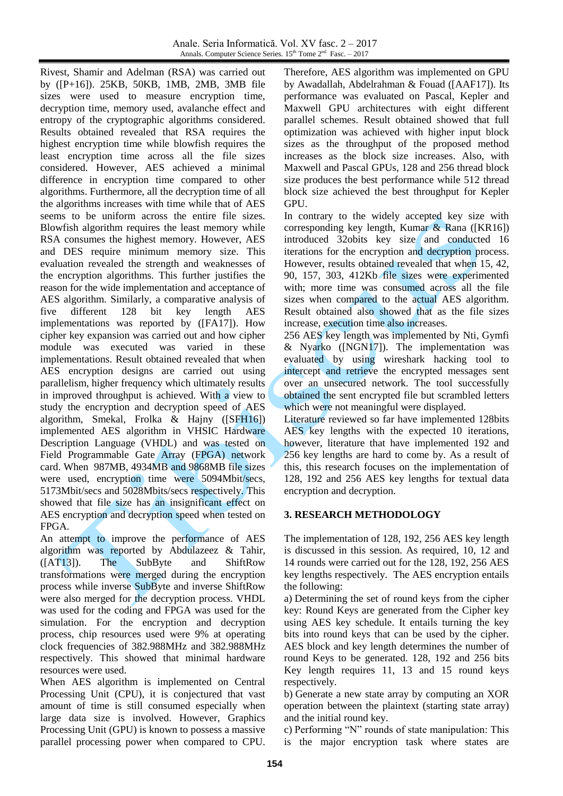Rivest, Shamir and Adelman (RSA) was carried out by ([P+16]). 25KB, 50KB, 1MB, 2MB, 3MB file sizes were used to measure encryption time, decryption time, memory used, avalanche effect and entropy of the cryptographic algorithms considered. Results obtained revealed that RSA requires the highest encryption time while blowfish requires the least encryption time across all the file sizes considered. However, AES achieved a minimal difference in encryption time compared to other algorithms. Furthermore, all the decryption time of all the algorithms increases with time while that of AES seems to be uniform across the entire file sizes. Blowfish algorithm requires the least memory while RSA consumes the highest memory. However, AES and DES require minimum memory size. This evaluation revealed the strength and weaknesses of the encryption algorithms. This further justifies the reason for the wide implementation and acceptance of AES algorithm. Similarly, a comparative analysis of five different 128 bit key length AES implementations was reported by ([FA17]). How cipher key expansion was carried out and how cipher module was executed was varied in these implementations. Result obtained revealed that when AES encryption designs are carried out using parallelism, higher frequency which ultimately results in improved throughput is achieved. With a view to study the encryption and decryption speed of AES algorithm, Smekal, Frolka & Hajny ([SFH16]) implemented AES algorithm in VHSIC Hardware Description Language (VHDL) and was tested on Field Programmable Gate Array (FPGA) network card. When 987MB, 4934MB and 9868MB file sizes were used, encryption time were 5094Mbit/secs, 5173Mbit/secs and 5028Mbits/secs respectively. This showed that file size has an insignificant effect on AES encryption and decryption speed when tested on FPGA.

An attempt to improve the performance of AES algorithm was reported by Abdulazeez & Tahir, ([AT13]). The SubByte and ShiftRow transformations were merged during the encryption process while inverse SubByte and inverse ShiftRow were also merged for the decryption process. VHDL was used for the coding and FPGA was used for the simulation. For the encryption and decryption process, chip resources used were 9% at operating clock frequencies of 382.988MHz and 382.988MHz respectively. This showed that minimal hardware resources were used.

When AES algorithm is implemented on Central Processing Unit (CPU), it is conjectured that vast amount of time is still consumed especially when large data size is involved. However, Graphics Processing Unit (GPU) is known to possess a massive parallel processing power when compared to CPU.

Therefore, AES algorithm was implemented on GPU by Awadallah, Abdelrahman & Fouad ([AAF17]). Its performance was evaluated on Pascal, Kepler and Maxwell GPU architectures with eight different parallel schemes. Result obtained showed that full optimization was achieved with higher input block sizes as the throughput of the proposed method increases as the block size increases. Also, with Maxwell and Pascal GPUs, 128 and 256 thread block size produces the best performance while 512 thread block size achieved the best throughput for Kepler GPU.

In contrary to the widely accepted key size with corresponding key length, Kumar  $\&$  Rana ([KR16]) introduced 32obits key size and conducted 16 iterations for the encryption and decryption process. However, results obtained revealed that when 15, 42, 90, 157, 303, 412Kb file sizes were experimented with; more time was consumed across all the file sizes when compared to the actual AES algorithm. Result obtained also showed that as the file sizes increase, execution time also increases.

256 AES key length was implemented by Nti, Gymfi & Nyarko ([NGN17]). The implementation was evaluated by using wireshark hacking tool to intercept and retrieve the encrypted messages sent over an unsecured network. The tool successfully obtained the sent encrypted file but scrambled letters which were not meaningful were displayed.

Literature reviewed so far have implemented 128bits AES key lengths with the expected 10 iterations, however, literature that have implemented 192 and 256 key lengths are hard to come by. As a result of this, this research focuses on the implementation of 128, 192 and 256 AES key lengths for textual data encryption and decryption.

# **3. RESEARCH METHODOLOGY**

The implementation of 128, 192, 256 AES key length is discussed in this session. As required, 10, 12 and 14 rounds were carried out for the 128, 192, 256 AES key lengths respectively. The AES encryption entails the following:

a) Determining the set of round keys from the cipher key: Round Keys are generated from the Cipher key using AES key schedule. It entails turning the key bits into round keys that can be used by the cipher. AES block and key length determines the number of round Keys to be generated. 128, 192 and 256 bits Key length requires 11, 13 and 15 round keys respectively.

b) Generate a new state array by computing an XOR operation between the plaintext (starting state array) and the initial round key.

c) Performing "N" rounds of state manipulation: This is the major encryption task where states are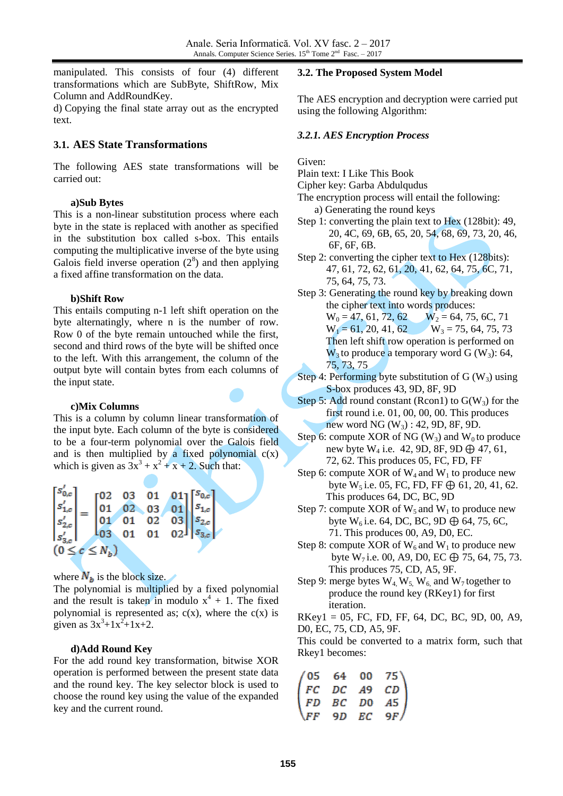manipulated. This consists of four (4) different transformations which are SubByte, ShiftRow, Mix Column and AddRoundKey.

d) Copying the final state array out as the encrypted text.

## **3.1. AES State Transformations**

The following AES state transformations will be carried out:

## **a)Sub Bytes**

This is a non-linear substitution process where each byte in the state is replaced with another as specified in the substitution box called s-box. This entails computing the multiplicative inverse of the byte using Galois field inverse operation  $(2^8)$  and then applying a fixed affine transformation on the data.

#### **b)Shift Row**

This entails computing n-1 left shift operation on the byte alternatingly, where n is the number of row. Row 0 of the byte remain untouched while the first, second and third rows of the byte will be shifted once to the left. With this arrangement, the column of the output byte will contain bytes from each columns of the input state.

#### **c)Mix Columns**

This is a column by column linear transformation of the input byte. Each column of the byte is considered to be a four-term polynomial over the Galois field and is then multiplied by a fixed polynomial  $c(x)$ which is given as  $3x^3 + x^2 + x + 2$ . Such that:

$$
\begin{bmatrix} s'_{0,c} \\ s'_{1,c} \\ s'_{2,c} \\ s'_{3,c} \end{bmatrix} = \begin{bmatrix} 02 & 03 & 01 & 01 \\ 01 & 02 & 03 & 01 \\ 01 & 01 & 02 & 03 \\ 03 & 01 & 01 & 02 \end{bmatrix} \begin{bmatrix} s_{0,c} \\ s_{1,c} \\ s_{2,c} \\ s_{3,c} \end{bmatrix}
$$
  
(0 \le c \le N<sub>b</sub>)

where  $N_b$  is the block size.

The polynomial is multiplied by a fixed polynomial and the result is taken in modulo  $x^4 + 1$ . The fixed polynomial is represented as;  $c(x)$ , where the  $c(x)$  is given as  $3x^3+1x^2+1x+2$ .

## **d)Add Round Key**

For the add round key transformation, bitwise XOR operation is performed between the present state data and the round key. The key selector block is used to choose the round key using the value of the expanded key and the current round.

#### **3.2. The Proposed System Model**

The AES encryption and decryption were carried put using the following Algorithm:

### *3.2.1. AES Encryption Process*

Given:

- Plain text: I Like This Book
- Cipher key: Garba Abdulqudus
- The encryption process will entail the following: a) Generating the round keys
- Step 1: converting the plain text to Hex (128bit): 49, 20, 4C, 69, 6B, 65, 20, 54, 68, 69, 73, 20, 46, 6F, 6F, 6B.
- Step 2: converting the cipher text to Hex (128bits): 47, 61, 72, 62, 61, 20, 41, 62, 64, 75, 6C, 71, 75, 64, 75, 73.
- Step 3: Generating the round key by breaking down the cipher text into words produces:  $W_0 = 47, 61, 72, 62$   $W_2 = 64, 75, 6C, 71$  $W_1 = 61, 20, 41, 62$   $W_3 = 75, 64, 75, 73$  Then left shift row operation is performed on  $W_3$  to produce a temporary word G (W<sub>3</sub>): 64, 75, 73, 75
- Step 4: Performing byte substitution of  $G(W_3)$  using S-box produces 43, 9D, 8F, 9D
- Step 5: Add round constant (Rcon1) to  $G(W_3)$  for the first round i.e. 01, 00, 00, 00. This produces new word NG  $(W_3)$ : 42, 9D, 8F, 9D.
- Step 6: compute XOR of NG  $(W_3)$  and  $W_0$  to produce new byte W<sub>4</sub> i.e. 42, 9D, 8F, 9D  $\bigoplus$  47, 61, 72, 62. This produces 05, FC, FD, FF
- Step 6: compute XOR of  $W_4$  and  $W_1$  to produce new byte  $W_5$  i.e. 05, FC, FD, FF  $\bigoplus$  61, 20, 41, 62. This produces 64, DC, BC, 9D
- Step 7: compute XOR of  $W_5$  and  $W_1$  to produce new byte  $W_6$  i.e. 64, DC, BC, 9D  $\oplus$  64, 75, 6C, 71. This produces 00, A9, D0, EC.
- Step 8: compute XOR of  $W_6$  and  $W_1$  to produce new byte  $W_7$  i.e. 00, A9, D0, EC  $\bigoplus$  75, 64, 75, 73. This produces 75, CD, A5, 9F.
- Step 9: merge bytes  $W_4$ ,  $W_5$ ,  $W_6$ , and  $W_7$  together to produce the round key (RKey1) for first iteration.
- $RKey1 = 05$ , FC, FD, FF, 64, DC, BC, 9D, 00, A9, D0, EC, 75, CD, A5, 9F.

This could be converted to a matrix form, such that Rkey1 becomes:

|  | $\begin{pmatrix} 05 & 64 & 00 & 75 \\ FC & DC & A9 & CD \\ FD & BC & D0 & A5 \\ FF & 9D & EC & 9F \end{pmatrix}$ |
|--|------------------------------------------------------------------------------------------------------------------|
|  |                                                                                                                  |
|  |                                                                                                                  |
|  |                                                                                                                  |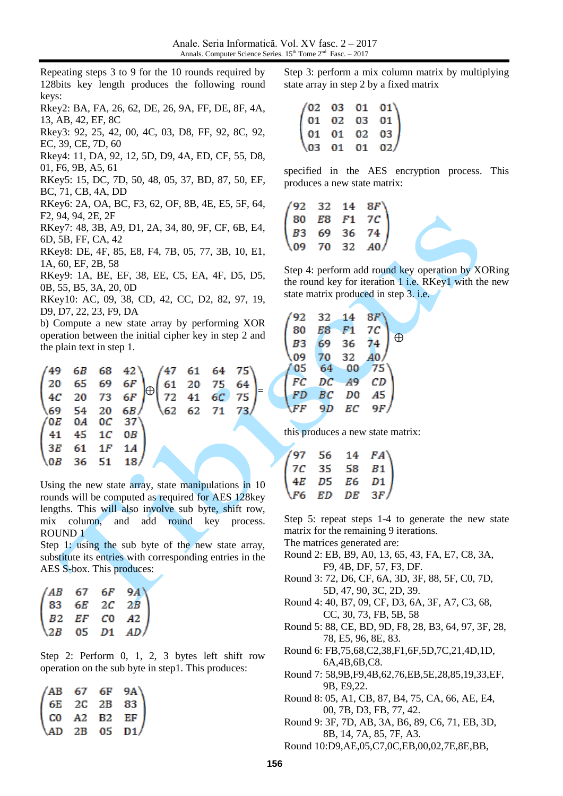Repeating steps 3 to 9 for the 10 rounds required by 128bits key length produces the following round keys:

Rkey2: BA, FA, 26, 62, DE, 26, 9A, FF, DE, 8F, 4A, 13, AB, 42, EF, 8C

Rkey3: 92, 25, 42, 00, 4C, 03, D8, FF, 92, 8C, 92, EC, 39, CE, 7D, 60

Rkey4: 11, DA, 92, 12, 5D, D9, 4A, ED, CF, 55, D8, 01, F6, 9B, A5, 61

RKey5: 15, DC, 7D, 50, 48, 05, 37, BD, 87, 50, EF, BC, 71, CB, 4A, DD

RKey6: 2A, OA, BC, F3, 62, OF, 8B, 4E, E5, 5F, 64, F2, 94, 94, 2E, 2F

RKey7: 48, 3B, A9, D1, 2A, 34, 80, 9F, CF, 6B, E4, 6D, 5B, FF, CA, 42

RKey8: DE, 4F, 85, E8, F4, 7B, 05, 77, 3B, 10, E1, 1A, 60, EF, 2B, 58

RKey9: 1A, BE, EF, 38, EE, C5, EA, 4F, D5, D5, 0B, 55, B5, 3A, 20, 0D

RKey10: AC, 09, 38, CD, 42, CC, D2, 82, 97, 19, D9, D7, 22, 23, F9, DA

b) Compute a new state array by performing XOR operation between the initial cipher key in step 2 and the plain text in step 1.

|  |  | $\begin{pmatrix} 49 & 6B & 68 & 42 \\ 20 & 65 & 69 & 6F \\ 4C & 20 & 73 & 6F \\ 69 & 54 & 20 & 6B \end{pmatrix} \oplus \begin{pmatrix} 47 & 61 & 64 & 75 \\ 61 & 20 & 75 & 64 \\ 72 & 41 & 6C & 75 \\ 62 & 62 & 71 & 73 \end{pmatrix} =$ |  |  |  |
|--|--|------------------------------------------------------------------------------------------------------------------------------------------------------------------------------------------------------------------------------------------|--|--|--|
|  |  |                                                                                                                                                                                                                                          |  |  |  |
|  |  | $\begin{pmatrix} 0E & 0A & 0C & 37 \end{pmatrix}$                                                                                                                                                                                        |  |  |  |
|  |  | $\begin{pmatrix} 41 & 45 & 1C & 0B \end{pmatrix}$                                                                                                                                                                                        |  |  |  |
|  |  | $3E$ 61 1F 1A                                                                                                                                                                                                                            |  |  |  |
|  |  | $\begin{bmatrix} 0 & 36 & 51 & 18 \end{bmatrix}$                                                                                                                                                                                         |  |  |  |
|  |  |                                                                                                                                                                                                                                          |  |  |  |

Using the new state array, state manipulations in 10 rounds will be computed as required for AES 128key lengths. This will also involve sub byte, shift row, mix column, and add round key process. ROUND 1

Step 1: using the sub byte of the new state array, substitute its entries with corresponding entries in the AES S-box. This produces:

|  | $\begin{pmatrix} AB & 67 & 6F & 9A \\ 83 & 6E & 2C & 2B \\ B2 & EF & C0 & A2 \\ 2B & 05 & D1 & AD \end{pmatrix}$ |
|--|------------------------------------------------------------------------------------------------------------------|
|  |                                                                                                                  |

Step 2: Perform 0, 1, 2, 3 bytes left shift row operation on the sub byte in step1. This produces:

|  | $\begin{pmatrix} AB & 67 & 6F & 9A \ 6E & 2C & 2B & 83 \ CD & A2 & B2 & EF \ AD & 2B & 05 & D1 \end{pmatrix}$ |
|--|---------------------------------------------------------------------------------------------------------------|
|  |                                                                                                               |
|  |                                                                                                               |

Step 3: perform a mix column matrix by multiplying state array in step 2 by a fixed matrix

|  |  | $\begin{pmatrix} 02 & 03 & 01 & 01 \\ 01 & 02 & 03 & 01 \\ 01 & 01 & 02 & 03 \end{pmatrix}$ |
|--|--|---------------------------------------------------------------------------------------------|
|  |  | $\begin{pmatrix} 03 & 01 & 01 & 02 \end{pmatrix}$                                           |

specified in the AES encryption process. This produces a new state matrix:

|  | $\begin{pmatrix} 92 & 32 & 14 & 8F \\ 80 & E8 & F1 & 7C \\ B3 & 69 & 36 & 74 \\ 09 & 70 & 32 & A0 \end{pmatrix}$ |
|--|------------------------------------------------------------------------------------------------------------------|

Step 4: perform add round key operation by XORing the round key for iteration  $1$  i.e. RKey1 with the new state matrix produced in step 3. i.e.

| 92             | 32 | 14             | 8F              |             |
|----------------|----|----------------|-----------------|-------------|
| 80             | E8 | F1             | 7C              | $\bigoplus$ |
| B <sub>3</sub> | 69 | 36             | 74              |             |
| 09             | 70 | 32             | $\overline{A}0$ |             |
| 05             | 64 | 00             | 75              |             |
| FC             | DC | A <sub>9</sub> | CD              |             |
| FD             | BC | D <sub>0</sub> | A5              |             |
| FF             | 9D | ЕC             | 9F              |             |
|                |    |                |                 |             |

this produces a new state matrix:

|  | $(97 \t 56 \t 14 \t FA)$<br>$7C \t 35 \t 58 \t B1$<br>$4E \t D5 \t E6 \t D1$<br>$\sqrt{6} \t ED \t DE \t 3F$ |
|--|--------------------------------------------------------------------------------------------------------------|
|  |                                                                                                              |
|  |                                                                                                              |

Step 5: repeat steps 1-4 to generate the new state matrix for the remaining 9 iterations.

The matrices generated are:

- Round 2: EB, B9, A0, 13, 65, 43, FA, E7, C8, 3A, F9, 4B, DF, 57, F3, DF.
- Round 3: 72, D6, CF, 6A, 3D, 3F, 88, 5F, C0, 7D, 5D, 47, 90, 3C, 2D, 39.
- Round 4: 40, B7, 09, CF, D3, 6A, 3F, A7, C3, 68, CC, 30, 73, FB, 5B, 58
- Round 5: 88, CE, BD, 9D, F8, 28, B3, 64, 97, 3F, 28, 78, E5, 96, 8E, 83.
- Round 6: FB,75,68,C2,38,F1,6F,5D,7C,21,4D,1D, 6A,4B,6B,C8.
- Round 7: 58,9B,F9,4B,62,76,EB,5E,28,85,19,33,EF, 9B, E9,22.
- Round 8: 05, A1, CB, 87, B4, 75, CA, 66, AE, E4, 00, 7B, D3, FB, 77, 42.

Round 9: 3F, 7D, AB, 3A, B6, 89, C6, 71, EB, 3D, 8B, 14, 7A, 85, 7F, A3.

Round 10:D9,AE,05,C7,0C,EB,00,02,7E,8E,BB,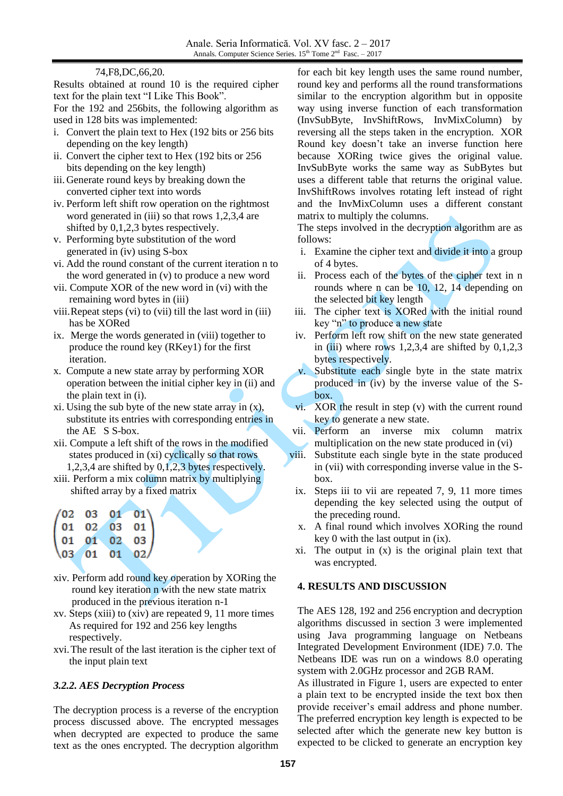#### 74,F8,DC,66,20.

Results obtained at round 10 is the required cipher text for the plain text "I Like This Book".

For the 192 and 256bits, the following algorithm as used in 128 bits was implemented:

- i. Convert the plain text to Hex (192 bits or 256 bits depending on the key length)
- ii. Convert the cipher text to Hex (192 bits or 256 bits depending on the key length)
- iii. Generate round keys by breaking down the converted cipher text into words
- iv. Perform left shift row operation on the rightmost word generated in (iii) so that rows 1,2,3,4 are shifted by 0,1,2,3 bytes respectively.
- v. Performing byte substitution of the word generated in (iv) using S-box
- vi. Add the round constant of the current iteration n to the word generated in (v) to produce a new word
- vii. Compute XOR of the new word in (vi) with the remaining word bytes in (iii)
- viii.Repeat steps (vi) to (vii) till the last word in (iii) has be XORed
- ix. Merge the words generated in (viii) together to produce the round key (RKey1) for the first iteration.
- x. Compute a new state array by performing XOR operation between the initial cipher key in (ii) and the plain text in (i).
- xi. Using the sub byte of the new state array in  $(x)$ , substitute its entries with corresponding entries in the AE S S-box.
- xii. Compute a left shift of the rows in the modified states produced in (xi) cyclically so that rows 1,2,3,4 are shifted by 0,1,2,3 bytes respectively.
- xiii. Perform a mix column matrix by multiplying shifted array by a fixed matrix

| (02 03 01 01)                                |          |           |
|----------------------------------------------|----------|-----------|
|                                              | 01 02 03 | 01 l      |
| $01 \t 01 \t 02$                             |          | $03 \mid$ |
| $\begin{pmatrix} 03 & 01 & 01 \end{pmatrix}$ |          | 02/       |

- xiv. Perform add round key operation by XORing the round key iteration n with the new state matrix produced in the previous iteration n-1
- xv. Steps (xiii) to (xiv) are repeated 9, 11 more times As required for 192 and 256 key lengths respectively.
- xvi.The result of the last iteration is the cipher text of the input plain text

## *3.2.2. AES Decryption Process*

The decryption process is a reverse of the encryption process discussed above. The encrypted messages when decrypted are expected to produce the same text as the ones encrypted. The decryption algorithm for each bit key length uses the same round number, round key and performs all the round transformations similar to the encryption algorithm but in opposite way using inverse function of each transformation (InvSubByte, InvShiftRows, InvMixColumn) by reversing all the steps taken in the encryption. XOR Round key doesn't take an inverse function here because XORing twice gives the original value. InvSubByte works the same way as SubBytes but uses a different table that returns the original value. InvShiftRows involves rotating left instead of right and the InvMixColumn uses a different constant matrix to multiply the columns.

The steps involved in the decryption algorithm are as follows:

- i. Examine the cipher text and divide it into a group of 4 bytes.
- ii. Process each of the bytes of the cipher text in n rounds where n can be 10, 12, 14 depending on the selected bit key length
- iii. The cipher text is XORed with the initial round key "n" to produce a new state
- iv. Perform left row shift on the new state generated in (iii) where rows  $1,2,3,4$  are shifted by  $0,1,2,3$ bytes respectively.
- v. Substitute each single byte in the state matrix produced in (iv) by the inverse value of the Sbox.
- vi. XOR the result in step (v) with the current round key to generate a new state.
- vii. Perform an inverse mix column matrix multiplication on the new state produced in (vi)
- viii. Substitute each single byte in the state produced in (vii) with corresponding inverse value in the Sbox.
- ix. Steps iii to vii are repeated 7, 9, 11 more times depending the key selected using the output of the preceding round.
- x. A final round which involves XORing the round key 0 with the last output in (ix).
- xi. The output in (x) is the original plain text that was encrypted.

# **4. RESULTS AND DISCUSSION**

The AES 128, 192 and 256 encryption and decryption algorithms discussed in section 3 were implemented using Java programming language on Netbeans Integrated Development Environment (IDE) 7.0. The Netbeans IDE was run on a windows 8.0 operating system with 2.0GHz processor and 2GB RAM.

As illustrated in Figure 1, users are expected to enter a plain text to be encrypted inside the text box then provide receiver's email address and phone number. The preferred encryption key length is expected to be selected after which the generate new key button is expected to be clicked to generate an encryption key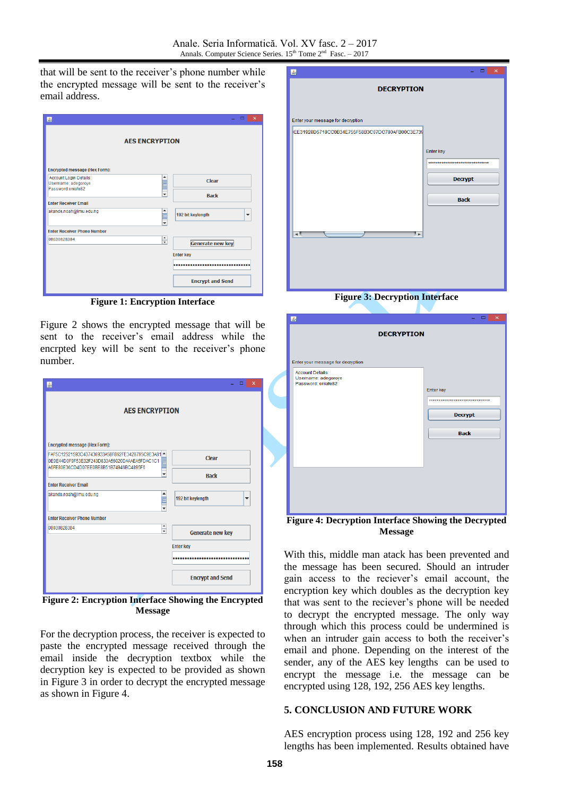that will be sent to the receiver's phone number while the encrypted message will be sent to the receiver's email address.

| 图                                                                       | $\times$<br>□                                 |
|-------------------------------------------------------------------------|-----------------------------------------------|
| <b>AES ENCRYPTION</b>                                                   |                                               |
| <b>Encrypted message (Hex Form):</b>                                    |                                               |
| Account Login Details:<br>▲<br>Username: adegoroye<br>Password:eniafe82 | Clear                                         |
| ٠                                                                       | <b>Back</b>                                   |
| <b>Enter Receiver Email</b>                                             |                                               |
| akande.noah@Imu.edu.ng<br>į                                             | 192 bit keylength<br>$\overline{\phantom{a}}$ |
| <b>Enter Receiver Phone Number</b>                                      |                                               |
| $\hat{\overline{\cdot}}$<br>08030828384                                 | <b>Generate new key</b>                       |
|                                                                         | <b>Enter key</b>                              |
|                                                                         |                                               |
|                                                                         | <b>Encrypt and Send</b>                       |

**Figure 1: Encryption Interface**

Figure 2 shows the encrypted message that will be sent to the receiver's email address while the encrpted key will be sent to the receiver's phone number.

| 島                                                                                                                                          | ▬                                            | × |
|--------------------------------------------------------------------------------------------------------------------------------------------|----------------------------------------------|---|
| <b>AES ENCRYPTION</b>                                                                                                                      |                                              |   |
| <b>Encrypted message (Hex Form):</b>                                                                                                       |                                              |   |
| FAF5C12521593C437436933A58F862FE3428795C9E3A81 -<br>0E9E44D0F9F53E32F243D833A56020DAAAEA5FDAC1C1<br>A6FE80E36CD4D07EE0BE8B51B74946BC4895F6 | <b>Clear</b>                                 |   |
| $\overline{\phantom{a}}$                                                                                                                   | <b>Back</b>                                  |   |
| <b>Enter Receiver Email</b>                                                                                                                |                                              |   |
| akande.noah@Imu.edu.ng                                                                                                                     | 192 bit keylength<br>$\overline{\mathbf{v}}$ |   |
| <b>Enter Receiver Phone Number</b>                                                                                                         |                                              |   |
| $\blacktriangle$<br>08030828384<br>$\overline{\phantom{0}}$                                                                                | Generate new key                             |   |
|                                                                                                                                            | <b>Enter key</b>                             |   |
|                                                                                                                                            |                                              |   |
|                                                                                                                                            | <b>Encrypt and Send</b>                      |   |

**Figure 2: Encryption Interface Showing the Encrypted Message**

For the decryption process, the receiver is expected to paste the encrypted message received through the email inside the decryption textbox while the decryption key is expected to be provided as shown in Figure 3 in order to decrypt the encrypted message as shown in Figure 4.

| 国                                              | $\boldsymbol{\times}$<br>▭                   |
|------------------------------------------------|----------------------------------------------|
| <b>DECRYPTION</b>                              |                                              |
|                                                |                                              |
| Enter your message for decryption              |                                              |
| EE31928D5718CC0B34E755F58B3C07DC780AFB00C3E739 |                                              |
|                                                | Enter key<br>******************************* |
|                                                | <b>Decrypt</b>                               |
|                                                | <b>Back</b>                                  |
| ⊩<br>◂                                         |                                              |
|                                                |                                              |
|                                                |                                              |
|                                                |                                              |

**Figure 3: Decryption Interface**

| 国                                                    | ▭<br>$\times$                    |
|------------------------------------------------------|----------------------------------|
| <b>DECRYPTION</b>                                    |                                  |
|                                                      |                                  |
|                                                      |                                  |
| Enter your message for decryption                    |                                  |
| <b>Account Details:</b><br>Username: adegoroye       |                                  |
| Password: enjafe82                                   | Enter key                        |
|                                                      | ******************************** |
|                                                      |                                  |
|                                                      | <b>Decrypt</b>                   |
|                                                      | <b>Back</b>                      |
|                                                      |                                  |
|                                                      |                                  |
|                                                      |                                  |
|                                                      |                                  |
|                                                      |                                  |
|                                                      |                                  |
|                                                      |                                  |
| Figure 4: Decremise Interface Showing the Decreminal |                                  |

**Figure 4: Decryption Interface Showing the Decrypted Message**

With this, middle man atack has been prevented and the message has been secured. Should an intruder gain access to the reciever's email account, the encryption key which doubles as the decryption key that was sent to the reciever's phone will be needed to decrypt the encrypted message. The only way through which this process could be undermined is when an intruder gain access to both the receiver's email and phone. Depending on the interest of the sender, any of the AES key lengths can be used to encrypt the message i.e. the message can be encrypted using 128, 192, 256 AES key lengths.

## **5. CONCLUSION AND FUTURE WORK**

AES encryption process using 128, 192 and 256 key lengths has been implemented. Results obtained have